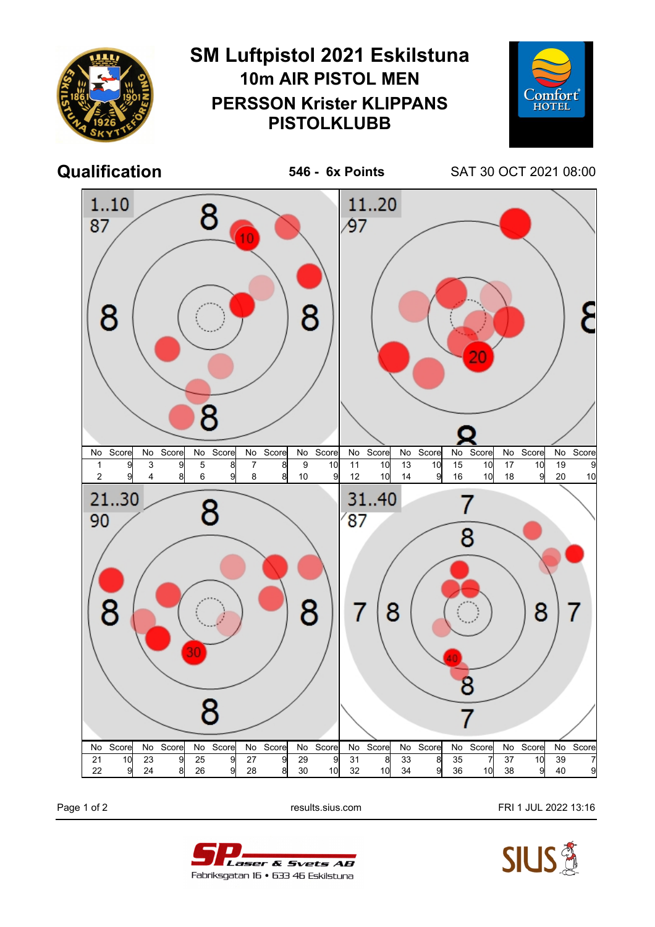

Page 1 of 2 **Page 1 of 2** results.sius.com **FRI 1 JUL 2022 13:16**